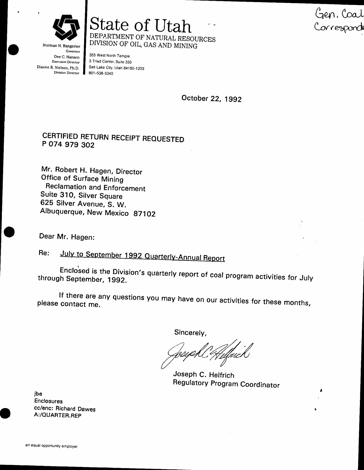Norman H. Bangerter

State of Utah DEPARTMENT OF NATURAL RESOURCES DIVISION OF OIL, GAS AND MINING

Governor Dee C. Hansen **Executive Director**  $\therefore$  exets on, Ph.D.<br>Division Director Dianne R. Nielson, Ph.D.

355 West North Temple 3 Triad Center, Suite 350 Salt Lake City, Utah 84180-1203 801-538-5340

October 22, 1992

Gen, Coal<br>Corresponde

# CERTIFIED RETURN RECEIPT REQUESTED P 074 979 302

Mr. Robert H. Hagen, Director Office of Surface Mining **Reclamation and Enforcement** Suite 310, Silver Square 625 Silver Avenue, S. W. Albuquerque, New Mexico 87102

Dear Mr. Hagen:

July to September 1992 Quarterly-Annual Report Re:

Enclosed is the Division's quarterly report of coal program activities for July through September, 1992.

If there are any questions you may have on our activities for these months, please contact me.

Sincerely,

Joseph C. Helfrich **Regulatory Program Coordinator** 

ibe Enclosures cc/enc: Richard Dawes A:/QUARTER.REP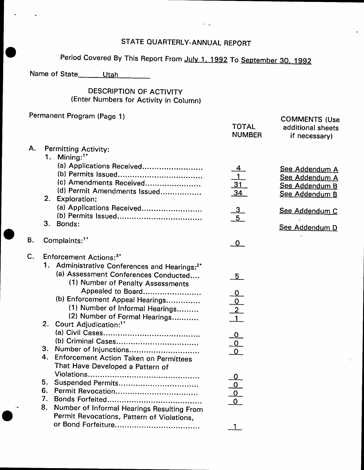# STATE OUARTERLY-ANNUAL REPORT

# Period Covered By This Report From July 1, 1992 To September 30, 1992

Name of State Utah

#### DESCRIPTION OF ACTIVITY lEnter Numbers for Activity in Column)

# Permanent Program (Page 1)

|    |    | Permanent Program (Page 1)                                                           | <b>TOTAL</b><br><b>NUMBER</b>                                     | <b>COMMENTS (Use</b><br>additional sheets<br>if necessary)           |
|----|----|--------------------------------------------------------------------------------------|-------------------------------------------------------------------|----------------------------------------------------------------------|
| Α. | 1. | Permitting Activity:<br>Mining: $1*$                                                 |                                                                   |                                                                      |
|    |    | (a) Applications Received<br>(c) Amendments Received<br>(d) Permit Amendments Issued | <u>4</u><br>$\overline{1}$<br>$\frac{31}{34}$                     | See Addendum A<br>See Addendum A<br>See Addendum B<br>See Addendum B |
|    | 2. | Exploration:<br>(a) Applications Received                                            |                                                                   | See Addendum C                                                       |
|    | 3. | Bonds:                                                                               | $\frac{3}{5}$                                                     | See Addendum D                                                       |
| В. |    | Complaints: <sup>1*</sup>                                                            | $\mathbf{o}$                                                      |                                                                      |
| C. |    | Enforcement Actions: <sup>3*</sup>                                                   |                                                                   |                                                                      |
|    |    | 1. Administrative Conferences and Hearings: <sup>2*</sup>                            |                                                                   |                                                                      |
|    |    | (a) Assessment Conferences Conducted<br>(1) Number of Penalty Assessments            | 5 <sub>1</sub>                                                    |                                                                      |
|    |    | Appealed to Board                                                                    |                                                                   |                                                                      |
|    |    | (b) Enforcement Appeal Hearings                                                      | $\begin{array}{c}\n0 \\ \hline\n0 \\ 2 \\ \hline\n1\n\end{array}$ |                                                                      |
|    |    | (1) Number of Informal Hearings                                                      |                                                                   |                                                                      |
|    |    | (2) Number of Formal Hearings<br>2. Court Adjudication: <sup>1*</sup>                |                                                                   |                                                                      |
|    |    |                                                                                      |                                                                   |                                                                      |
|    |    |                                                                                      |                                                                   |                                                                      |
|    |    | 3. Number of Injunctions                                                             | $\begin{array}{c}\n0 \\ 0 \\ \hline\n0\n\end{array}$              |                                                                      |
|    | 4. | Enforcement Action Taken on Permittees                                               |                                                                   |                                                                      |
|    |    | That Have Developed a Pattern of                                                     |                                                                   |                                                                      |
|    |    |                                                                                      | 0                                                                 |                                                                      |
|    | 5. | Suspended Permits                                                                    | <u>୦</u>                                                          |                                                                      |
|    | 6. |                                                                                      | $\overline{0}$                                                    |                                                                      |
|    | 7. |                                                                                      |                                                                   |                                                                      |
|    | 8. | Number of Informal Hearings Resulting From                                           |                                                                   |                                                                      |
|    |    | Permit Revocations, Pattern of Violations,                                           |                                                                   |                                                                      |
|    |    |                                                                                      | 1                                                                 |                                                                      |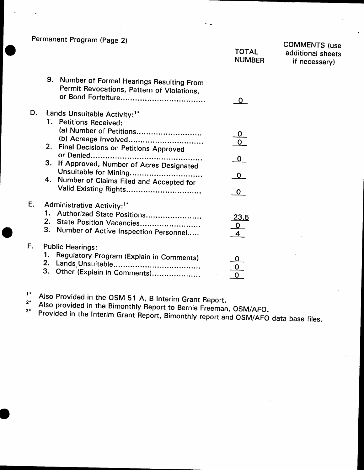Permanent Program (Page 2)

|               | <b>COMMEN</b> |
|---------------|---------------|
| <b>TOTAL</b>  | additiona     |
| <b>NUMBER</b> | if nece       |
|               |               |
|               |               |

| <b>COMMENTS</b> (use |
|----------------------|
| additional sheets    |
| if necessary)        |

|    | 9.<br>Number of Formal Hearings Resulting From<br>Permit Revocations, Pattern of Violations,                   |                                |
|----|----------------------------------------------------------------------------------------------------------------|--------------------------------|
| D. | Lands Unsuitable Activity: <sup>1*</sup><br>1. Petitions Received:                                             |                                |
|    | (a) Number of Petitions<br>(b) Acreage Involved<br>2.<br>Final Decisions on Petitions Approved                 |                                |
|    | З.<br>If Approved, Number of Acres Designated                                                                  | $\mathbf 0$                    |
|    | Unsuitable for Mining<br>4. Number of Claims Filed and Accepted for<br>Valid Existing Rights                   | $\Omega$                       |
| E. | Administrative Activity: <sup>1*</sup>                                                                         |                                |
|    | 1. Authorized State Positions<br>2. State Position Vacancies<br>3.<br>Number of Active Inspection Personnel    | <u> 23.5</u><br>$\overline{0}$ |
| F. | <b>Public Hearings:</b><br>Regulatory Program (Explain in Comments)<br>2.<br>З.<br>Other (Explain in Comments) |                                |

 $1*$ Also Provided in the OSM 51 A, B Interim Grant Report.  $2*$ 

Also provided in the Bimonthly Report to Bernie Freeman, OSM/AFO.  $3*$ 

Provided in the Interim Grant Report, Bimonthly report and OSM/AFO data base files.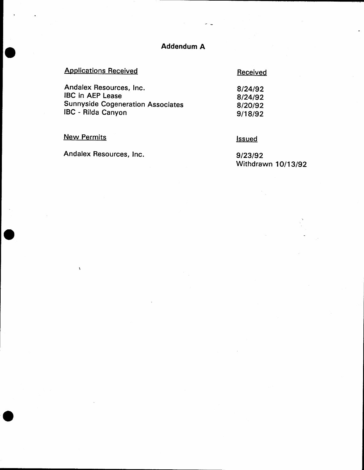# **Addendum A**

لداح

# **Applications Received**

#### Received

| Andalex Resources, Inc.                  | 8/24/92 |
|------------------------------------------|---------|
| <b>IBC in AEP Lease</b>                  | 8/24/92 |
| <b>Sunnyside Cogeneration Associates</b> | 8/20/92 |
| <b>IBC</b> - Rilda Canyon                | 9/18/92 |

**New Permits** 

 $\hat{\mathbf{v}}$ 

**Issued** 

Andalex Resources, Inc.

9/23/92 Withdrawn 10/13/92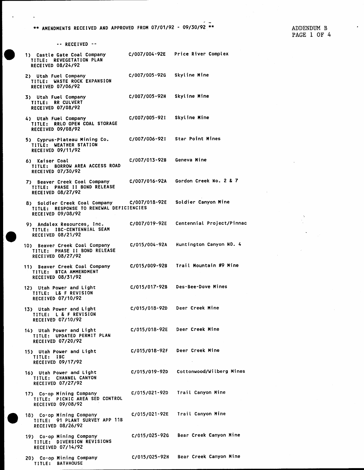\*\* AMENDMENTS RECEIVED AND APPROVED FROM 07/01/92 - 09/30/92 \*\*

-- RECEIVED --

C/007/004-92E Price River Complex 1) Castle Gate Coal Company TITLE: REVEGETATION PLAN RECEIVED 08/24/92 C/007/005-92G Skyline Mine 2) Utah Fuel Company TITLE: WASTE ROCK EXPANSION RECEIVED 07/06/92 C/007/005-92H Skyline Mine 3) Utah Fuel Company TITLE: RR CULVERT RECEIVED 07/08/92 C/007/005-921 Skyline Mine 4) Utah Fuel Company TITLE: RRLO OPEN COAL STORAGE RECEIVED 09/08/92 **Star Point Mines** C/007/006-92I 5) Cyprus-Plateau Mining Co. TITLE: WEATHER STATION RECEIVED 09/11/92 C/007/013-928 Geneva Mine 6) Kaiser Coal TITLE: BORROW AREA ACCESS ROAD RECEIVED 07/30/92 Gordon Creek No. 2 & 7 C/007/016-92A 7) Beaver Creek Coal Company TITLE: PHASE II BOND RELEASE RECEIVED 08/27/92 8) Soldier Creek Coal Company C/007/018-92E Soldier Canyon Mine TITLE: RESPONSE TO RENEWAL DEFICIENCIES RECEIVED 09/08/92 Centennial Project/Pinnac C/007/019-92E 9) Andalex Resources, Inc. TITLE: IBC-CENTENNIAL SEAM RECEIVED 08/21/92 C/015/004-92A Huntington Canyon NO. 4 10) Beaver Creek Coal Company TITLE: PHASE II BOND RELEASE RECEIVED 08/27/92 Trail Mountain #9 Mine C/015/009-92B 11) Beaver Creek Coal Company TITLE: BTCA AMMENDMENT RECEIVED 08/31/92 C/015/017-92B Des-Bee-Dove Mines 12) Utah Power and Light TITLE: L& F REVISION **RECEIVED 07/10/92** Deer Creek Mine C/015/018-92D 13) Utah Power and Light TITLE: L & F REVISION RECEIVED 07/10/92 C/015/018-92E Deer Creek Mine 14) Utah Power and Light TITLE: UPDATED PERMIT PLAN RECEIVED 07/20/92 C/015/018-92F Deer Creek Mine 15) Utah Power and Light TITLE: IBC RECEIVED 09/17/92 C/015/019-92D Cottonwood/Wilberg Mines 16) Utah Power and Light TITLE: CHANNEL CANYON RECEIVED 07/27/92 Trail Canyon Mine 17) Co-op Mining Company C/015/021-92D TITLE: PICNIC AREA SED CONTROL RECEIVED 09/08/92 C/015/021-92E Trail Canyon Mine 18) Co-op Mining Company<br>TITLE: 91 PLANT SURVEY APP 11B RECEIVED 08/26/92 Bear Creek Canyon Mine 19) Co-op Mining Company C/015/025-92G TITLE: DIVERSION REVISIONS

Bear Creek Canyon Mine

C/015/025-92H

20) Co-op Mining Company TITLE: BATHHOUSE

RECEIVED 07/14/92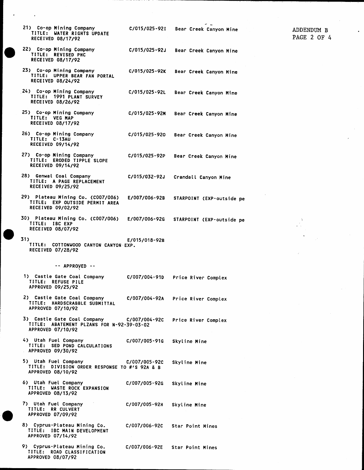$\ddot{\phantom{a}}$ 

 $\ddot{\phantom{0}}$ 

| 21) Co-op Mining Company<br>TITLE: WATER RIGHTS UPDATE<br>RECEIVED 08/17/92          |                                                                                     |                            | C/015/025-92I Bear Creek Canyon Mine                          |
|--------------------------------------------------------------------------------------|-------------------------------------------------------------------------------------|----------------------------|---------------------------------------------------------------|
| 22) Co-op Mining Company<br>TITLE: REVISED PHC<br>RECEIVED 08/17/92                  |                                                                                     |                            | C/015/025-92J Bear Creek Canyon Mine                          |
| 23) Co-op Mining Company<br>TITLE: UPPER BEAR FAN PORTAL<br><b>RECEIVED 08/24/92</b> |                                                                                     |                            | C/015/025-92K Bear Creek Canyon Mine                          |
| 24) Co-op Mining Company<br>TITLE: 1991 PLANT SURVEY<br>RECEIVED 08/26/92            |                                                                                     |                            | C/015/025-92L Bear Creek Canyon Mine                          |
| 25) Co-op Mining Company<br>TITLE: VEG MAP<br>RECEIVED 08/17/92                      |                                                                                     | C/015/025-92M              | Bear Creek Canyon Mine                                        |
| 26) Co-op Mining Company<br>TITLE: C-13AU<br><b>RECEIVED 09/14/92</b>                |                                                                                     | C/015/025-920              | Bear Creek Canyon Mine                                        |
| 27) Co-op Mining Company<br>TITLE: ERODED TIPPLE SLOPE<br>RECEIVED 09/14/92          |                                                                                     |                            | C/015/025-92P Bear Creek Canyon Mine                          |
| 28) Genwal Coal Company<br>TITLE: A PAGE REPLACEMENT<br>RECEIVED 09/25/92            |                                                                                     |                            | C/015/032-92J Crandall Canyon Mine                            |
| 29) Plateau Mining Co. (C007/006)<br>RECEIVED 09/02/92                               | TITLE: EXP OUTSIDE PERMIT AREA                                                      | <b>E/007/006-92B</b>       | STARPOINT (EXP-outside pe                                     |
| TITLE: IBC EXP<br><b>RECEIVED 08/07/92</b>                                           | 30) Plateau Mining Co. (C007/006) = E/007/006-92G                                   |                            | STARPOINT (EXP-outside pe                                     |
| 31)<br>RECEIVED 07/28/92                                                             | TITLE: COTTONWOOD CANYON CANYON EXP.                                                | E/015/018-92B              |                                                               |
|                                                                                      | -- APPROVED --                                                                      |                            |                                                               |
| 1) Castle Gate Coal Company<br>TITLE:<br><b>REFUSE PILE</b><br>APPROVED 09/25/92     |                                                                                     |                            | C/007/004-91D Price River Complex                             |
| TITLE: HARDSCRABBLE SUBMITTAL<br>APPROVED 07/10/92                                   |                                                                                     |                            | 2) Castle Gate Coal Company c/007/004-92A Price River Complex |
| APPROVED 07/10/92                                                                    | TITLE: ABATEMENT PLZANS FOR N-92-39-03-02                                           |                            | 3) Castle Gate Coal Company c/007/004-92C Price River Complex |
| 4) Utah Fuel Company<br>TITLE: SED POND CALCULATIONS<br>APPROVED 09/30/92            |                                                                                     | C/007/005-91G Skyline Mine |                                                               |
| APPROVED 08/10/92                                                                    | 5) Utah Fuel Company 6/007/005-920<br>TITLE: DIVISION ORDER RESPONSE TO #'S 92A & B |                            | Skyline Mine                                                  |
| A) Heak Enal Campanic                                                                |                                                                                     | A/007/005.024              |                                                               |

- 6) Utah Fuel Company<br>TITLE: WASTE ROCK EXPANSION<br>APPROVED 08/13/92 C/007/005-92G Skyline Mine  $\sim$
- 7) Utah Fuel Company<br>TITLE: RR CULVERT C/007/005-92H Skyline Mine APPROVED 07/09/92
- 8) Cyprus-Plateau Mining Co.<br>TITLE: IBC MAIN DEVELOPMENT C/007/006-92C Star Point Mines APPROVED 07/14/92
- 9) Cyprus-Plateau Mining Co.<br>TITLE: ROAD CLASSIFICATION<br>APPROVED 08/07/92

C/007/006-92E Star Point Mines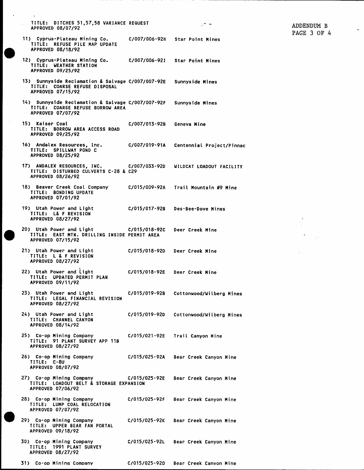TITLE: DITCHES 51,57,58 VARIANCE REQUEST APPROVED 08/07/92

11) Cyprus-Plateau Mining Co. C/007/006-92H **Star Point Mines** TITLE: REFUSE PILE MAP UPDATE APPROVED 08/18/92

سي جي

Geneva Mine

Centennial Project/Pinnac

Bear Creek Canyon Mine

- C/007/006-921 12) Cyprus-Plateau Mining Co. **Star Point Mines** TITLE: WEATHER STATION APPROVED 09/25/92
- 13) Sunnyside Reclamation & Salvage C/007/007-92E Sunnyside Mines TITLE: COARSE REFUSE DISPOSAL APPROVED 07/15/92
- 14) Sunnyside Reclamation & Salvage C/007/007-92F Sunnyside Mines TITLE: COARSE REFUSE BORROW AREA APPROVED 07/07/92
- 15) Kaiser Coal C/007/013-92B TITLE: BORROW AREA ACCESS ROAD APPROVED 09/25/92
- C/007/019-91A 16) Andalex Resources, Inc. TITLE: SPILLWAY POND C APPROVED 08/25/92
- 17) ANDALEX RESOURCES, INC. C/007/033-920 WILDCAT LOADOUT FACILITY TITLE: DISTURBED CULVERTS C-28 & C29 APPROVED 08/26/92
- 18) Beaver Creek Coal Company C/015/009-92A Trail Mountain #9 Mine TITLE: BONDING UPDATE APPROVED 07/01/92
- 19) Utah Power and Light C/015/017-92B Des-Bee-Dove Mines TITLE: L& F REVISION APPROVED 08/27/92
- 20) Utah Power and Light C/015/018-9.<br>TITLE: EAST MTN. DRILLING INSIDE PERMIT AREA C/015/018-92C Deer Creek Mine APPROVED 07/15/92
- 21) Utah Power and Light C/015/018-92D Deer Creek Mine TITLE: L & F REVISION APPROVED 08/27/92
- 22) Utah Power and Light C/015/018-92E Deer Creek Mine TITLE: UPDATED PERMIT PLAN APPROVED 09/11/92
- 23) Utah Power and Light C/015/019-92B Cottonwood/Wilberg Mines TITLE: LEGAL FINANCIAL REVISION APPROVED 08/27/92
- 24) Utah Power and Light C/015/019-92D Cottonwood/Wilberg Mines TITLE: CHANNEL CANYON APPROVED 08/14/92
- 25) Co-op Mining Company C/015/021-92E Trail Canyon Mine TITLE: 91 PLANT SURVEY APP 11B APPROVED 08/27/92
- 26) Co-op Mining Company C/015/025-92A Bear Creek Canyon Mine TITLE: C-8U APPROVED 08/07/92
- 27) Co-op Mining Company C/015/025-92E Bear Creek Canyon Mine TITLE: LOADOUT BELT & STORAGE EXPANSION APPROVED 07/06/92
- 28) Co-op Mining Company C/015/025-92F Bear Creek Canyon Mine TITLE: LUMP COAL RELOCATION APPROVED 07/07/92
- 29) Co-op Mining Company C/015/025-92K Bear Creek Canyon Mine TITLE: UPPER BEAR FAN PORTAL APPROVED 09/18/92
- 30) Co-op Mining Company C/015/025-92L TITLE: 1991 PLANT SURVEY APPROVED 08/27/92
- 31) Co-op Mining Company C/015/025-920 Bear Creek Canyon Mine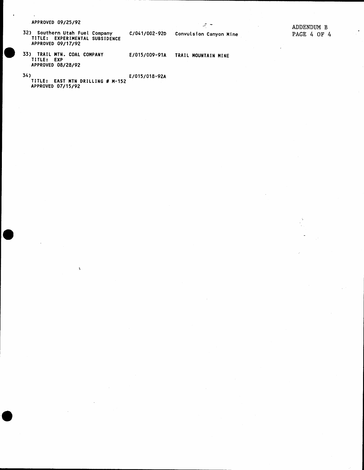APPROVED 09/25/92

32) Southern Utah Fuel Company<br>TITLE: EXPERIMENTAL SUBSIDENCE<br>APPROVED 09/17/92

 $\mathbf{v}$ 

C/041/002-92D

E/015/009-91A

Convulsion Canyon Mine

TRAIL MOUNTAIN MINE

سه می

 $\bullet$ 

33) TRAIL MTN. COAL COMPANY<br>TITLE: EXP APPROVED 08/28/92

 $34<sub>2</sub>$ 

E/015/018-92A TITLE: EAST MTN DRILLING # M-152<br>APPROVED 07/15/92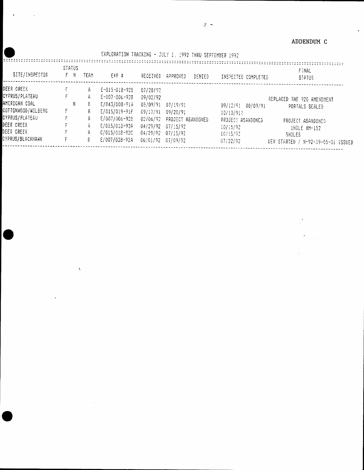#### ADDENDUM C

|                                            |   |                      |              | EXPLURATION TRACKING - JULY 1, 1992 THRU SEPTEMBER 1992 |                                  |                                           |        |                                           |                                              |
|--------------------------------------------|---|----------------------|--------------|---------------------------------------------------------|----------------------------------|-------------------------------------------|--------|-------------------------------------------|----------------------------------------------|
| SITE/INSPECTOR                             |   | <b>STATUS</b><br>F N | TEAM         | EXP #                                                   | RECEIVED                         | APPROVED                                  | DENTED | INSPECTED COMPLETED                       | FINAL<br><b>STATUS</b>                       |
| DEER CREEK<br>CYPRUS/PLATEAU               |   |                      | A<br>Ĥ.      | $E - 015 - 018 - 928$<br>E-007-006-928                  | 07/28/92<br>09/02/92             |                                           |        |                                           |                                              |
| AMERICAN COAL<br>COTTONWOOD/WILBERG        | ۴ | N                    | 8.<br>Ĥ      | E/043/008-91A<br>$E/015/019 - 91F$                      | 05/09/91<br>09/17/91 09/20/91    | 07/19/91                                  |        | 09/12/91 08/09/91<br>10/10/91?            | REPLACED THE 92G AMENDMENT<br>PORTALS SEALED |
| CYPRUS/PLATEAU<br>DEER CREEK<br>DEER CREEK |   |                      | A<br>A.<br>A | E/007/006-928<br>E/015/013-92A<br>$0/015/018 - 920$     | 02/06/92<br>04/29/92<br>04/29/92 | PROJECT ABANDONED<br>07/15/92<br>07/15/92 |        | PROJECT ABANDONED<br>10/15/92<br>10/15/92 | PROJECT ASANDONED<br>1HOLE #M-152            |
| CYPRUS/BLACKHAWK                           | F |                      | 8.           | E/007/038-92A                                           | 06/01/92                         | 07/09/92                                  |        | 07/22/92                                  | SHOLES<br>DEV STARTED / N-92-39-05-01 ISSUED |

ţ.

 $\zeta$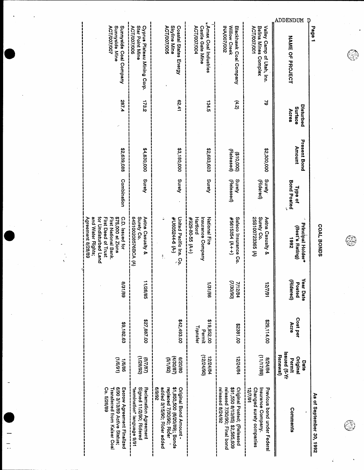

್ರ

COAL BONDS

**ADDENDUM** 

 $\overline{D}$ 

«Amax Coal Industries Sunnyside Coal Company<br>Sunnyside Mine Star Point Mine Cyprus Plateau Mining Corp. Skyline Mine Coastal States Energy Castle Gate Mine Blackhawk Coal Company Valley Camp of Utah, Inc.<br>Belina Mines Complex **ACT/007/006** Willow Creek Page 1 **ACT/007/005 ACT/007/004 MA/007/002 ACT/007/007** ACT/007/001 **NAME OF PROJECT** 173.2  $(4.2)$ 287.4 62.41 134.5 2 Disturbed Surface Acres **Present Bond** Amount 82,639,088 \$3,180,000 \$2,683,603 \$4,830,000 22,300,000 (Released)  $(510,000)$ Combination Surety Surety Surety Surety (Released) Surety **Bond Posted** (Ridered) Type of Surety Co.<br>25S100723365 (A) C.D. Issued for 64S100208576BCA (A) United Pacific Ins. Co National Fire Safeco Insurance Co. Aetna Casualty & for Undisturbed Land First Deed of Trust \$75,000 at Zions Surety Co. Aetna Casualty & Insurance Company #5615354 (A++) and Water Rights; #U605244-6 (A-) First National Bank  $#929-55. (A+)$ Hartford Principal Holder\* (Best's Rating) 7661 ÷. Year Date (Hidered) 7/12/84 88/169 11/26/85 (OS/OE/Z) 18/1/21 Posted 1/31/86 Cost per 227,887.00 \$42,493.00 \$19,952.00 00'114'00 Acre \$9,182.63 00'1862\$ Transfer Permit ISsued (5-Yr Date<br>Original  $(06/bZ/Z1)$  $(68/21/11)$ Renewal)  $(8/1/8)$  $(4/30/87)$ 12/24/84  $(1/28/82)$  $(26/1/5)$ 12/24/84  $(16/9/1)$ 08/02/9 18/24/84 Permit 1/6/86 \$1,850,500 (6/20/89); Bonds Co. 5/26/89 6/90 3/13/89 Active Status; Escrow Agreement Finalized Signed 11/2/90; Ridered Reclamation Agreement **Z6/6/9** added 3/15/90; Rider added replaced 7/30/90; Rider Original Bond Amount -\$91,550 8/13/85) \$2,585,609 Original Posted; (Released Changed surety companies Insurance Company. Previous bond under Federal released 7/30/90; Final bond Transferred from Kalser Coal released 8/24/92 18/1/21 As of September 30, 1992 Comments

Agreement 8/28/89

 $\mathbf{I}$ 

 $\overline{\mathbb{R}}$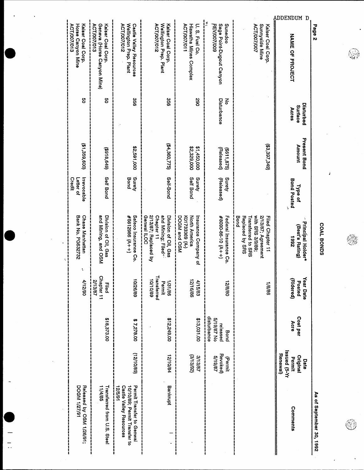| Page <sub>2</sub>                                                              |                               |                                      |                                    |                                                                                                             |                                              |                                               |                                                        | As of September 30, 1992                                                                               |
|--------------------------------------------------------------------------------|-------------------------------|--------------------------------------|------------------------------------|-------------------------------------------------------------------------------------------------------------|----------------------------------------------|-----------------------------------------------|--------------------------------------------------------|--------------------------------------------------------------------------------------------------------|
| UDDENDUM D<br><b>NAME OF PHOLECT</b>                                           | Disturbed<br>Surface<br>Acres | <b>Present Bond</b><br><b>Amount</b> | <b>Bond Posted</b><br>Type of      | Principal Holder*<br>(Best's Rating)<br>2661                                                                | Year Date<br>(Ridered)<br>Posted             | Cost per<br>Acre                              | Issued (5-Yr<br>Renewal)<br>Original<br>Permit<br>Date | Comments                                                                                               |
| <b>ACT/007/007</b><br>Sunnyside Mine<br>Kalser Coal Corp.                      |                               | (\$3,397,349)                        |                                    | with SRS 3/9/89;<br>Bond<br>Replaced by SRS<br>2/13/87: Agreement<br>Transferred to SRS<br>Filed Chapter 11 | 98/9/                                        |                                               |                                                        |                                                                                                        |
| Sage Point-Dugout Canyon<br>Sunedco<br><b>REV/OO7/OO9</b>                      | Disturbance<br>중              | (Released)<br>(\$611,875)            | Surety<br>(Released)               | #8090-86-10 (A++)<br>Federal Insurance Co.                                                                  | 08/8/2                                       | disturbance<br>5/19/87 No<br>released<br>Bond | Revoked)<br>5/19/87<br>(Permit                         |                                                                                                        |
| U. S. Fuel Co.<br>ACT/007/011<br><b>Hiawatha Mines Complex</b>                 | 290                           | \$2,329,000<br>\$1,450,000           | <b>Self Bond</b><br>Surety         | DOGM and OSM<br>Ko1733369 (A-)<br>North America<br>hsurance Company of                                      | $\vec{p}$<br>土<br>116/86<br>15/83            | \$13,031.00                                   | (SPI3/92)<br>3/13/87                                   |                                                                                                        |
| Wellington Prep. Plant<br>ACT/007/012<br>Kaiser Coal Corp.                     | 95C                           | (\$4,360,775)                        | Self-Bond                          | 2/13/87; Replaced by<br>Chapter 11<br>and Mining; Filed"<br><b>Genwal ILOC</b><br>Division of Oil, Gas      | Transferred<br>68/01/01<br>1/31/86<br>Permit | \$12,249.00                                   | 12/10/84                                               | Bankrupt                                                                                               |
| Wellington Prep. Plant<br><b>ACT/007/012</b><br><b>Castle Valley Resources</b> | 998                           | 22,591,000                           | Apung.<br>Bond                     | Safeco Insurance Co.<br>$#5612986 (A+A)$                                                                    | 68/92/01                                     | \$7,278.00                                    | (68/01/21)                                             | Permit Transfer to Genwal<br>18/2121<br><b>Castle Valley Resources</b><br>10/10/89; Permit Transfer to |
| <b>ACT/007/013</b><br>Geneva (Horse Canyon Mine)<br>Kaiser Coal Corp.          | g                             | (618, 649)                           | <b>Self Bond</b>                   | and Mining, and OSM<br>Division of Oil, Gas                                                                 | <b>Chapter 11</b><br>Й,<br>Filed<br>13/87    | \$18,373.00                                   |                                                        | Transferred from U.S. Steel<br>11/4/85                                                                 |
| ACT/007/013<br>Kalser Coal Corp.<br>Horse Canyon Mine                          | g                             | (\$1,359,600)                        | Irrevocable<br>Credit<br>Letter of | <b>Chase Manhattan</b><br><b>Bank No. PG632732</b><br>ţ.                                                    | 4/12/90                                      |                                               |                                                        | 16/22/1 MBOD<br>Released by OSM 1/26/91;                                                               |
|                                                                                |                               |                                      |                                    |                                                                                                             |                                              |                                               |                                                        |                                                                                                        |

 $\ddotsc$ 

COAL BONDS

 $\lambda$ 

Q

d<br>N ì ņ ę

٣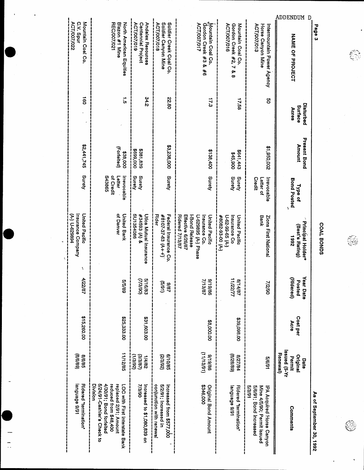| Page 3                                                               |                               |                               |                                              |                                                                                                                                |                                  |                  |                                                        | As of September 30, 1992                                                                                                                              |
|----------------------------------------------------------------------|-------------------------------|-------------------------------|----------------------------------------------|--------------------------------------------------------------------------------------------------------------------------------|----------------------------------|------------------|--------------------------------------------------------|-------------------------------------------------------------------------------------------------------------------------------------------------------|
| ADDENDUM D<br><b>NAME OF PROJECT</b>                                 | Disturbed<br>Surface<br>Acres | <b>Present Bond</b><br>Amount | <b>Bond Posted</b><br>Type of<br>١           | Principal Holder*<br>(Best's Rating)<br>2661                                                                                   | Year Date<br>(Ridered)<br>Posted | Cost per<br>Acre | ISSued (5-Yr<br>Renewal)<br>Orlginal<br>Permit<br>Date | Comments                                                                                                                                              |
| ACT/007/013<br>Horse Canyon Mine<br>Intermountain Power Agency       | g                             | 200'096'1\$                   | Credit<br>Irrevocable<br>Letter of           | Bank<br>Zions First National                                                                                                   | 06/2/                            |                  | 5/6/91                                                 | 13/3/91<br>5/6/91; Bond Increased<br>Mine 4/5/90; Permit issued<br><b>IPA Acquired Horse Canyon</b>                                                   |
| ACT/007/016<br>Gordon Creek #2, 7 & 8<br>Mountain Coal Co.           | 17.58                         | C++'1+9\$<br>\$45,900         | Surety<br>Surety                             | #8082-93-00 (A-)<br>Insurance Co<br>United Pacific<br>$0.62 - 99 - 65 (A)$                                                     | 11/22/11<br>18/11/8              | \$39,098.00      | (8/82/8)<br>18/27/84                                   | levguage 9/91<br><b>Ridered "termination</b> "                                                                                                        |
| Mountain Coal Co.<br>Gordon Creek #3 & #6<br>ACT/007/017             | 17.3                          | \$138,400                     | Surety                                       | Ridered 7/13/87<br>Effective 6/26/87<br><b>I-Bond Release</b><br>U-629895 (A-) Phase<br><b>United Pacific</b><br>Insurance Co. | 99/61/6<br><b>7/13/87</b>        | 88,000.00        | (10/EL/11)<br>98/61/6                                  | \$346,000<br><b>Original Bond Amount</b>                                                                                                              |
| ACT/007/018<br>Soldier Canyon Mine<br>Soldier Creek Coal Co.         | 22.80                         | \$3,238,000                   | Surety                                       | <b>Rider</b><br>#8107-37-63 (A++)<br>Federal Insurance Co.                                                                     | (16/9)<br>28/6                   |                  | 6/10/85<br>(26/85)                                     | conjunction with renewal<br>5/2/91; Increased in<br>Increased from \$577,000                                                                          |
| ACT/007/019<br><b>Andalex Resources</b><br><b>Centennial Project</b> | 34.2                          | \$699,000<br>\$381,839        | Surety<br>Surety                             | SU1354086<br>434593 (A) &<br>Utica Mutual Insurance                                                                            | 5/16/83<br>(06/8l)               | \$31,603.00      | (26/81)<br>(28/5/6)<br>28/6/1                          | <b>OG/E/Z</b><br>Increased to \$1,080,839 on                                                                                                          |
| <b>REC/007/021</b><br>Blazon #1 Mine<br>North American Equities      | $\frac{1}{9}$                 | (Forlelted)<br>\$38,000       | S43865<br>of Credit<br>Letter<br>Irrevocable | of Denver<br><b>United Bank</b>                                                                                                | 68/9/9                           | \$25,333.00      | 11/12/85                                               | 5/24/91-Cashler's Check to<br>4/30/91; Bond forfelted<br>Division<br>reduced from \$48,400<br>LOC with First interstate Bank<br>replaced 2/91; Amount |
| ACT/007/022<br>Mountain Coal Co.<br>C.V. Spur                        | $\vec{B}$                     | \$2,441,745                   | Surety                                       | United Pacific<br>(A-) U-629894<br>Insurance Company<br>٢                                                                      | 18/22/4                          | \$15,260.00      | (88/9/8)<br><b>8/9/8</b>                               | Ienguage 9/91<br>Ridered "termination"                                                                                                                |

COAL BONDS

€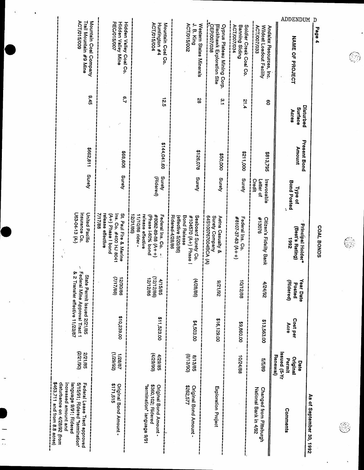| <b>Present Bond</b><br><b>Amount</b><br><b>Bond Posted</b><br>Type of<br>Principal Holder*<br>(Best's Rating)<br>7861<br>(Ridered)<br>rear Date<br>Posted | COML BONDS<br>Cost per<br>Acre                   |
|-----------------------------------------------------------------------------------------------------------------------------------------------------------|--------------------------------------------------|
| 000'112\$<br>5813,795<br>Credit<br>Irrevocable<br>Letter of<br>#13076<br>Citizen's Fidelity Bank<br>4/24/92                                               | \$13,563.00                                      |
| Surety<br>Surety<br>Surety Company<br>Aetna Casualty &<br>#8107-37-63 (A++)<br>Federal Ins. Co.<br>26/12/6<br>88/21/01                                    | 64S100767004BCA (A)<br>\$16,129.00<br>\$9,860.00 |
|                                                                                                                                                           |                                                  |
|                                                                                                                                                           |                                                  |
|                                                                                                                                                           |                                                  |
| IX-S) penss<br>Renewal)<br>10/24/88<br>Original<br>68/9/9<br>Permit<br>Date                                                                               |                                                  |

 $\frac{1}{\sqrt{2}}$ 

COAL BONDS

€

S

 $\bigcirc \hspace{-0.5ex} \bigcirc$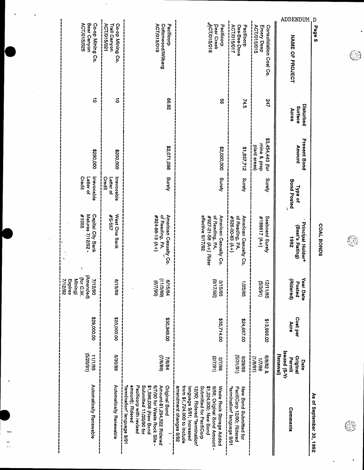| D<br>Page 5              | ADDENDUM                                              | ACT/015/015<br>Emery Deep                       | <b>ACT/015/017</b><br>Pacificorp<br>Des-Bee-Dove                                              | ACT/015/018<br>Pacificorp<br>Deer Creek                                                                                                                                                                                            | Pacificorp<br>ACT/015/019                                                                                                                                                                                           | Co-op Mining Co.<br>ACT/015/021<br><b>Trail Canyon</b> |                                                                           |
|--------------------------|-------------------------------------------------------|-------------------------------------------------|-----------------------------------------------------------------------------------------------|------------------------------------------------------------------------------------------------------------------------------------------------------------------------------------------------------------------------------------|---------------------------------------------------------------------------------------------------------------------------------------------------------------------------------------------------------------------|--------------------------------------------------------|---------------------------------------------------------------------------|
|                          | <b>NAME OF PROJECT</b>                                | Consolidation Coal Co.                          |                                                                                               |                                                                                                                                                                                                                                    | Cottonwood/Wilberg                                                                                                                                                                                                  |                                                        | ACT/015/025<br>Co-op Mining Co.<br>Bear Canyon                            |
|                          | Disturbed<br>Surface<br>Acres                         | 747                                             | 74.5                                                                                          | ပ္တ                                                                                                                                                                                                                                | Z6'99                                                                                                                                                                                                               | $\vec{0}$                                              | $\vec{0}$                                                                 |
|                          | <b>Present Bond</b><br>Amount                         | \$3,454,443 (for<br>mine & prep<br>plant areas) | \$1,837,712                                                                                   | \$2,000,000                                                                                                                                                                                                                        | \$2,071,098                                                                                                                                                                                                         | \$200,000                                              | \$290,000                                                                 |
|                          | <b>Bond Posted</b><br>Type of<br>٩,                   | Surety                                          | Surety                                                                                        | Surety                                                                                                                                                                                                                             | Surety                                                                                                                                                                                                              | Irrevocable<br><b>Credit</b><br>Letter of              | Credit<br>Irrevocable<br>Letter of                                        |
| COAL BONDS               | Principal Holder*<br>(Best's Rating)<br><b>Z661</b>   | Seaboard Surety<br>#188617 (A+)                 | of Reading, PA.<br>American Casualty Co.<br>4926-00-83 (A+)                                   | effective 9/17/92<br>of Reading, PA,<br>American Casualty Co.<br>#927-21-58 (A+) Rider                                                                                                                                             | American Casualty Co.<br>of Reading, PA.<br>$( + \sqrt{61.36} - 13)$                                                                                                                                                | West One Bank<br><b>75-557</b>                         | Matures 7/12/92 -<br><b>Capital City Bank</b><br>#1055                    |
|                          | Year Date<br>Aldered)<br>Posted                       | (16/8/9)<br>12/11/85                            | 38/92/1                                                                                       | (29/17/92)<br>3/15/85                                                                                                                                                                                                              | $\left($ a $/$ c $/$ l $\downarrow$ l $\right)$<br>6/15/84<br>(06/1/9)                                                                                                                                              | 6/15/89                                                | (Amended)<br>(for C.W.<br>Mining)<br><b>D6/Z1/4</b><br>7/12/92<br>Expires |
|                          | Cost per<br>Acre                                      | \$13,986.00                                     | \$24,667.00                                                                                   | \$35,714.00                                                                                                                                                                                                                        | <b>CO.649.002</b>                                                                                                                                                                                                   | 00'000'02\$                                            | \$29,000.00                                                               |
|                          | IX-Si penss<br>Renewal)<br>Original<br>Permit<br>Date | 8/8/82<br>(16/8/1)<br>98/2/1                    | (16/16/91)<br>58/62/8                                                                         | (16/1/2)<br><b>2/7/86</b>                                                                                                                                                                                                          | (2/69)<br>7/6/84                                                                                                                                                                                                    | <b>GB/OC/S</b>                                         | (16/02/5)<br>11/1/85                                                      |
| As of September 30, 1992 | Comments                                              |                                                 | PacifiCorp 12/90; Ridered<br>New Bond Submitted for<br>termination <sup>+</sup> language 9/91 | amendment changes 9/92<br>\$1,224,000; New Bond<br>from \$1,724.000 to include<br>9/88; Original Bond Amount -<br>Waste Rock Storage Added<br>language 9/91; Increased<br>Submitted for PacifiCorp<br>12/90; Ridered "termination" | "termination" language 9/91<br>amount); Ridered<br>Pacificorp with revised<br>\$1,586,008 (New Bond<br>6/7/90 for Waste Rock Site -<br>Amount-\$1,294,522 Ridered<br>Submitted 11/20/90 for<br><b>Original Bond</b> | Automatically Renewable                                | Automatically Renewable                                                   |

je.

 $\overline{\phantom{a}}$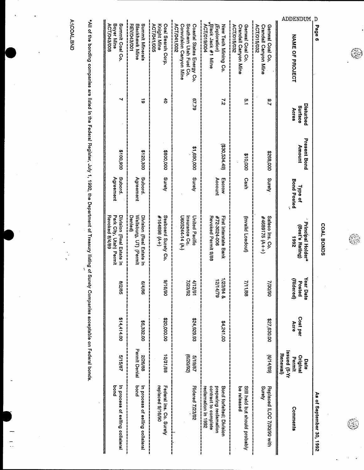|--|

 $\ddot{\phantom{0}}$ 

COAL BONDS

€

コーカーコーディ **2001 1997** 

G)

| <b>ACT/043/008</b><br>Boyer Mine<br>Summit Coal Co.<br><b>REV/043/001</b><br>Summit Minerals<br>ACT/041/005<br>ACT/041/002<br>Southern Utah Fuel Co.<br>Knight Mine<br>Coal Search Corp.<br>Convulsion Canyon Mine<br>Coastal States Energy Co.<br>ACT/019/004<br><b>ACT/015/032</b><br>Blackhawk Mine<br>ACT/015/032<br><b>Black Jack #1 Mine</b><br>(Exploration)<br>New Tech Mining Co.<br><b>Crandall Canyon Mine</b><br>Genwal Coal Co<br>Crandall Canyon Mine<br>Genwal Coal Co.<br><b>NAME OF PROJECT</b><br>ठै<br>67.79<br>õ<br>22<br>ă,<br><u>م:</u><br>Surface<br>Acres<br>(930,534.49)<br><b>Amount</b><br>31,690,000<br>3100,900<br>\$800,000<br>008'021\$<br>000'892\$<br>\$10,000<br>Surety<br>Surety<br>Subord.<br><b>Subord.</b><br>Surety<br>Agreement<br>Agreement<br>Cash<br>Account<br>Escrow<br><b>Bond Posted</b><br>Type of<br>Park City, Utah) Permit<br>Wallsburg, UT) (Permit<br>Seaboard Surety Co.<br>Revoked 8/4/89<br><b>Denled</b><br>Division (Real Estate in<br>#164898 (A+)<br>Division (Real Estate In<br>U605244-14 (A-)<br>United Pacific<br>Revoked Permit 9/88<br>#72-3024-006<br>Tirst interatate Bank<br>#4689175 (A++)<br>Safeco Ins. Co.<br>Insurance Co.<br>(Invalid Loadout)<br>(Best's Rating)<br>2661 | ADDENDUM<br>D | Page 6 |          |                     |                          |                                                  |         |                  |                                                        |
|------------------------------------------------------------------------------------------------------------------------------------------------------------------------------------------------------------------------------------------------------------------------------------------------------------------------------------------------------------------------------------------------------------------------------------------------------------------------------------------------------------------------------------------------------------------------------------------------------------------------------------------------------------------------------------------------------------------------------------------------------------------------------------------------------------------------------------------------------------------------------------------------------------------------------------------------------------------------------------------------------------------------------------------------------------------------------------------------------------------------------------------------------------------------------------------------------------------------------------------------------|---------------|--------|----------|---------------------|--------------------------|--------------------------------------------------|---------|------------------|--------------------------------------------------------|
|                                                                                                                                                                                                                                                                                                                                                                                                                                                                                                                                                                                                                                                                                                                                                                                                                                                                                                                                                                                                                                                                                                                                                                                                                                                      |               |        | Dequited | <b>Present Bond</b> | <b>Principal Holder*</b> | Ś<br><b>Aldered</b><br>Posted<br><b>Par Date</b> |         | Cost per<br>Acre | Issued (5-Yr<br>Renewal)<br>Original<br>Permit<br>Date |
|                                                                                                                                                                                                                                                                                                                                                                                                                                                                                                                                                                                                                                                                                                                                                                                                                                                                                                                                                                                                                                                                                                                                                                                                                                                      |               |        |          |                     |                          | 7/30/90                                          |         | \$27,630.00      | (68/14/9)                                              |
|                                                                                                                                                                                                                                                                                                                                                                                                                                                                                                                                                                                                                                                                                                                                                                                                                                                                                                                                                                                                                                                                                                                                                                                                                                                      |               |        |          |                     |                          | 7/11/88                                          |         |                  |                                                        |
|                                                                                                                                                                                                                                                                                                                                                                                                                                                                                                                                                                                                                                                                                                                                                                                                                                                                                                                                                                                                                                                                                                                                                                                                                                                      |               |        |          |                     |                          | 1/23/84 &<br>2/14/79                             |         | \$4,241.00       |                                                        |
|                                                                                                                                                                                                                                                                                                                                                                                                                                                                                                                                                                                                                                                                                                                                                                                                                                                                                                                                                                                                                                                                                                                                                                                                                                                      |               |        |          |                     |                          | <b>Z6/EZ//</b><br>19/21/1                        |         | \$24,929.93      | (26/02/9)<br>2/19/87                                   |
|                                                                                                                                                                                                                                                                                                                                                                                                                                                                                                                                                                                                                                                                                                                                                                                                                                                                                                                                                                                                                                                                                                                                                                                                                                                      |               |        |          |                     |                          |                                                  | 06/91/6 | \$20,000.00      | 10/31/88                                               |
|                                                                                                                                                                                                                                                                                                                                                                                                                                                                                                                                                                                                                                                                                                                                                                                                                                                                                                                                                                                                                                                                                                                                                                                                                                                      |               |        |          |                     |                          |                                                  | 98/t/9  | \$6,332.00       | Permit Denial<br>2/26/88                               |
|                                                                                                                                                                                                                                                                                                                                                                                                                                                                                                                                                                                                                                                                                                                                                                                                                                                                                                                                                                                                                                                                                                                                                                                                                                                      |               |        |          |                     |                          | 58/2/8                                           |         | \$14,414.00      | 5/15/87                                                |

\*All of the bonding companies are listed in the Federal Register, July 1, 1992, the Department of Treasury listing of Surety Companies acceptable on Federal bonds.

 $\frac{1}{1}$ 

A:\COAL.BND